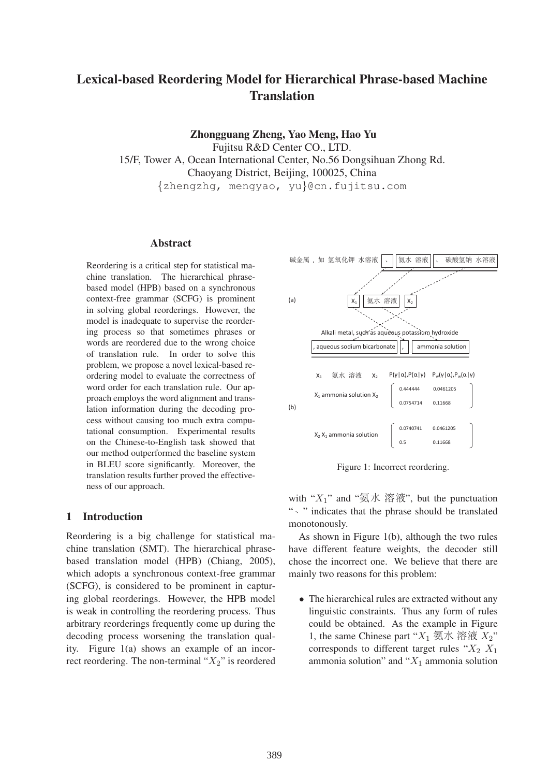# Lexical-based Reordering Model for Hierarchical Phrase-based Machine **Translation**

Zhongguang Zheng, Yao Meng, Hao Yu

Fujitsu R&D Center CO., LTD. 15/F, Tower A, Ocean International Center, No.56 Dongsihuan Zhong Rd. Chaoyang District, Beijing, 100025, China {zhengzhg, mengyao, yu}@cn.fujitsu.com

#### Abstract

Reordering is a critical step for statistical machine translation. The hierarchical phrasebased model (HPB) based on a synchronous context-free grammar (SCFG) is prominent in solving global reorderings. However, the model is inadequate to supervise the reordering process so that sometimes phrases or words are reordered due to the wrong choice of translation rule. In order to solve this problem, we propose a novel lexical-based reordering model to evaluate the correctness of word order for each translation rule. Our approach employs the word alignment and translation information during the decoding process without causing too much extra computational consumption. Experimental results on the Chinese-to-English task showed that our method outperformed the baseline system in BLEU score significantly. Moreover, the translation results further proved the effectiveness of our approach.

# 1 Introduction

Reordering is a big challenge for statistical machine translation (SMT). The hierarchical phrasebased translation model (HPB) (Chiang, 2005), which adopts a synchronous context-free grammar (SCFG), is considered to be prominent in capturing global reorderings. However, the HPB model is weak in controlling the reordering process. Thus arbitrary reorderings frequently come up during the decoding process worsening the translation quality. Figure 1(a) shows an example of an incorrect reordering. The non-terminal " $X_2$ " is reordered



Figure 1: Incorrect reordering.

with " $X_1$ " and "氨水 溶液", but the punctuation ". " indicates that the phrase should be translated monotonously.

As shown in Figure 1(b), although the two rules have different feature weights, the decoder still chose the incorrect one. We believe that there are mainly two reasons for this problem:

• The hierarchical rules are extracted without any linguistic constraints. Thus any form of rules could be obtained. As the example in Figure 1, the same Chinese part " $X_1 \n\overline{\otimes} \mathcal{K} \n\otimes \mathcal{K} \n\otimes X_2$ " corresponds to different target rules " $X_2$   $X_1$ ammonia solution" and " $X_1$  ammonia solution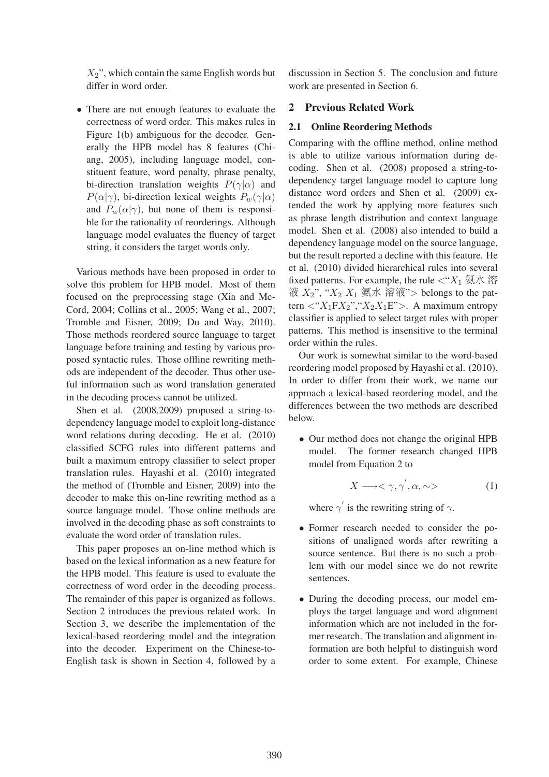$X_2$ ", which contain the same English words but differ in word order.

• There are not enough features to evaluate the correctness of word order. This makes rules in Figure 1(b) ambiguous for the decoder. Generally the HPB model has 8 features (Chiang, 2005), including language model, constituent feature, word penalty, phrase penalty, bi-direction translation weights  $P(\gamma|\alpha)$  and  $P(\alpha|\gamma)$ , bi-direction lexical weights  $P_w(\gamma|\alpha)$ and  $P_w(\alpha|\gamma)$ , but none of them is responsible for the rationality of reorderings. Although language model evaluates the fluency of target string, it considers the target words only.

Various methods have been proposed in order to solve this problem for HPB model. Most of them focused on the preprocessing stage (Xia and Mc-Cord, 2004; Collins et al., 2005; Wang et al., 2007; Tromble and Eisner, 2009; Du and Way, 2010). Those methods reordered source language to target language before training and testing by various proposed syntactic rules. Those offline rewriting methods are independent of the decoder. Thus other useful information such as word translation generated in the decoding process cannot be utilized.

Shen et al. (2008,2009) proposed a string-todependency language model to exploit long-distance word relations during decoding. He et al. (2010) classified SCFG rules into different patterns and built a maximum entropy classifier to select proper translation rules. Hayashi et al. (2010) integrated the method of (Tromble and Eisner, 2009) into the decoder to make this on-line rewriting method as a source language model. Those online methods are involved in the decoding phase as soft constraints to evaluate the word order of translation rules.

This paper proposes an on-line method which is based on the lexical information as a new feature for the HPB model. This feature is used to evaluate the correctness of word order in the decoding process. The remainder of this paper is organized as follows. Section 2 introduces the previous related work. In Section 3, we describe the implementation of the lexical-based reordering model and the integration into the decoder. Experiment on the Chinese-to-English task is shown in Section 4, followed by a discussion in Section 5. The conclusion and future work are presented in Section 6.

## 2 Previous Related Work

# 2.1 Online Reordering Methods

Comparing with the offline method, online method is able to utilize various information during decoding. Shen et al. (2008) proposed a string-todependency target language model to capture long distance word orders and Shen et al. (2009) extended the work by applying more features such as phrase length distribution and context language model. Shen et al. (2008) also intended to build a dependency language model on the source language, but the result reported a decline with this feature. He et al. (2010) divided hierarchical rules into several fixed patterns. For example, the rule <"X<sup>1</sup> -- - 液  $X_2$ ", " $X_2$   $X_1$  氨水 溶液"> belongs to the pattern  $\langle "X_1 F X_2", "X_2 X_1 E" \rangle$ . A maximum entropy classifier is applied to select target rules with proper patterns. This method is insensitive to the terminal order within the rules.

Our work is somewhat similar to the word-based reordering model proposed by Hayashi et al. (2010). In order to differ from their work, we name our approach a lexical-based reordering model, and the differences between the two methods are described below.

• Our method does not change the original HPB model. The former research changed HPB model from Equation 2 to

$$
X \longrightarrow \langle \gamma, \gamma^{'}, \alpha, \sim \rangle \tag{1}
$$

where  $\gamma'$  is the rewriting string of  $\gamma$ .

- Former research needed to consider the positions of unaligned words after rewriting a source sentence. But there is no such a problem with our model since we do not rewrite sentences.
- During the decoding process, our model employs the target language and word alignment information which are not included in the former research. The translation and alignment information are both helpful to distinguish word order to some extent. For example, Chinese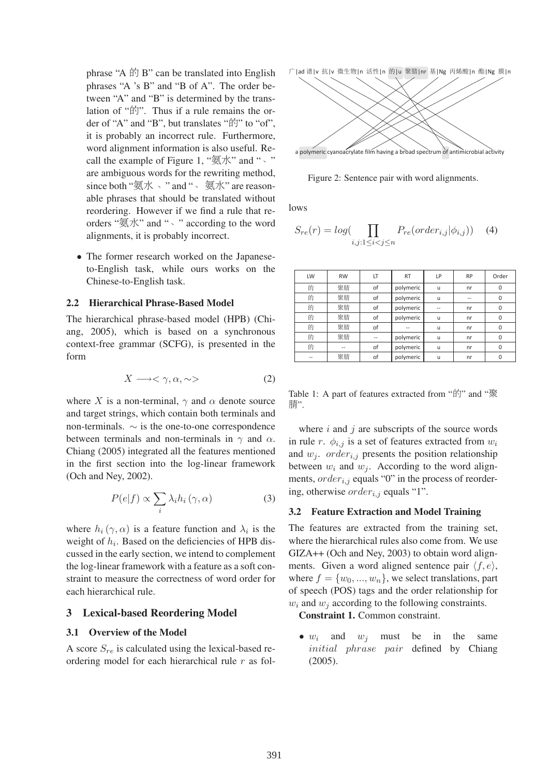phrase "A 的 B" can be translated into English phrases "A 's B" and "B of A". The order between "A" and "B" is determined by the translation of "的". Thus if a rule remains the order of "A" and "B", but translates "fil" to "of", it is probably an incorrect rule. Furthermore, word alignment information is also useful. Recall the example of Figure 1, " $\mathcal{F}$   $\mathcal{F}'$ " and ", " are ambiguous words for the rewriting method, since both "氨水、" and "、 氨水" are reasonable phrases that should be translated without reordering. However if we find a rule that reorders "氨水" and "  $\cdot$  " according to the word alignments, it is probably incorrect.

• The former research worked on the Japaneseto-English task, while ours works on the Chinese-to-English task.

#### 2.2 Hierarchical Phrase-Based Model

The hierarchical phrase-based model (HPB) (Chiang, 2005), which is based on a synchronous context-free grammar (SCFG), is presented in the form

$$
X \longrightarrow \langle \gamma, \alpha, \sim \rangle \tag{2}
$$

where X is a non-terminal,  $\gamma$  and  $\alpha$  denote source and target strings, which contain both terminals and non-terminals.  $\sim$  is the one-to-one correspondence between terminals and non-terminals in  $\gamma$  and  $\alpha$ . Chiang (2005) integrated all the features mentioned in the first section into the log-linear framework (Och and Ney, 2002).

$$
P(e|f) \propto \sum_{i} \lambda_i h_i \left( \gamma, \alpha \right) \tag{3}
$$

where  $h_i(\gamma, \alpha)$  is a feature function and  $\lambda_i$  is the weight of  $h_i$ . Based on the deficiencies of HPB discussed in the early section, we intend to complement the log-linear framework with a feature as a soft constraint to measure the correctness of word order for each hierarchical rule.

#### 3 Lexical-based Reordering Model

### 3.1 Overview of the Model

A score  $S_{re}$  is calculated using the lexical-based reordering model for each hierarchical rule r as fol广|ad 谱|v 抗|v 微生物|n 活性|n 的|u 聚腈|nr 基|Ng 丙烯酸|n 酯|Ng 膜|n



Figure 2: Sentence pair with word alignments.

lows

$$
S_{re}(r) = log(\prod_{i,j:1 \le i < j \le n} P_{re}(order_{i,j}|\phi_{i,j})) \tag{4}
$$

| LW | <b>RW</b> | LT | <b>RT</b> | LP           | <b>RP</b> | Order    |
|----|-----------|----|-----------|--------------|-----------|----------|
| 的  | 聚腈        | of | polymeric | $\mathsf{u}$ | nr        | 0        |
| 的  | 聚腈        | of | polymeric | u            | --        | 0        |
| 的  | 聚腈        | of | polymeric |              | nr        | 0        |
| 的  | 聚腈        | of | polymeric | u            | nr        | $\Omega$ |
| 的  | 聚腈        | of |           | u            | nr        | 0        |
| 的  | 聚腈        |    | polymeric | $\mathsf{u}$ | nr        | 0        |
| 的  |           | of | polymeric | u            | nr        | 0        |
|    | 聚腈        | of | polymeric | u            | nr        | 0        |

Table 1: A part of features extracted from "的" and "聚 腈".

where  $i$  and  $j$  are subscripts of the source words in rule r.  $\phi_{i,j}$  is a set of features extracted from  $w_i$ and  $w_i$ . *order<sub>i,j</sub>* presents the position relationship between  $w_i$  and  $w_j$ . According to the word alignments,  $order_{i,j}$  equals "0" in the process of reordering, otherwise  $order_{i,j}$  equals "1".

#### 3.2 Feature Extraction and Model Training

The features are extracted from the training set, where the hierarchical rules also come from. We use GIZA++ (Och and Ney, 2003) to obtain word alignments. Given a word aligned sentence pair  $\langle f, e \rangle$ , where  $f = \{w_0, ..., w_n\}$ , we select translations, part of speech (POS) tags and the order relationship for  $w_i$  and  $w_j$  according to the following constraints.

Constraint 1. Common constraint.

•  $w_i$  and  $w_j$  must be in the same initial phrase pair defined by Chiang (2005).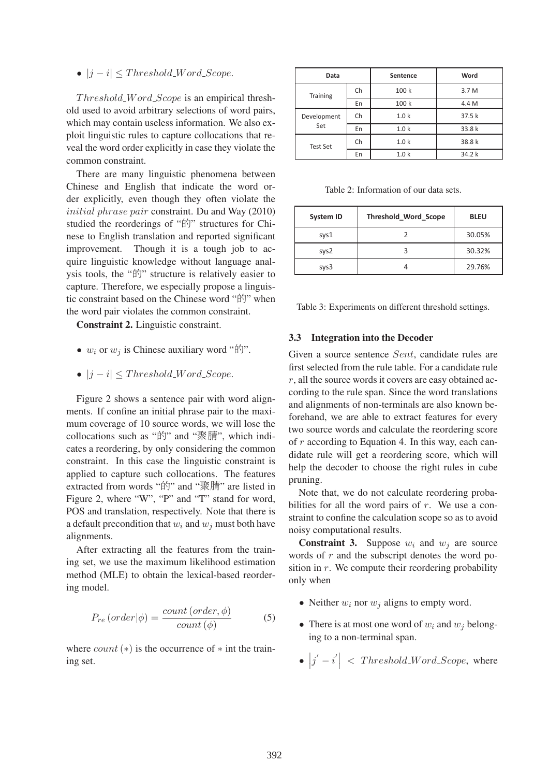•  $|j - i| \leq Threshold\_Word\_Scope.$ 

 $Threshold\_Word\_Score$  is an empirical threshold used to avoid arbitrary selections of word pairs, which may contain useless information. We also exploit linguistic rules to capture collocations that reveal the word order explicitly in case they violate the common constraint.

There are many linguistic phenomena between Chinese and English that indicate the word order explicitly, even though they often violate the initial phrase pair constraint. Du and Way (2010) studied the reorderings of "的" structures for Chinese to English translation and reported significant improvement. Though it is a tough job to acquire linguistic knowledge without language analysis tools, the "的" structure is relatively easier to capture. Therefore, we especially propose a linguistic constraint based on the Chinese word "的" when the word pair violates the common constraint.

Constraint 2. Linguistic constraint.

- $w_i$  or  $w_j$  is Chinese auxiliary word " $\hat{F}$ ".
- $|j i| \leq Threshold\_Word\_Scope.$

Figure 2 shows a sentence pair with word alignments. If confine an initial phrase pair to the maximum coverage of 10 source words, we will lose the collocations such as "的" and "聚腈", which indicates a reordering, by only considering the common constraint. In this case the linguistic constraint is applied to capture such collocations. The features extracted from words "的" and "聚腈" are listed in Figure 2, where "W", "P" and "T" stand for word, POS and translation, respectively. Note that there is a default precondition that  $w_i$  and  $w_j$  must both have alignments.

After extracting all the features from the training set, we use the maximum likelihood estimation method (MLE) to obtain the lexical-based reordering model.

$$
P_{re} (order | \phi) = \frac{count (order, \phi)}{count (\phi)}
$$
 (5)

where  $count(*)$  is the occurrence of  $*$  int the training set.

| Data            |    | <b>Sentence</b>  | Word   |
|-----------------|----|------------------|--------|
| <b>Training</b> | Ch | 100 k            | 3.7 M  |
|                 | En | 100 k            | 4.4 M  |
| Development     | Ch | 1.0 <sub>k</sub> | 37.5k  |
| Set             | En | 1.0 <sub>k</sub> | 33.8 k |
| <b>Test Set</b> | Ch | 1.0 <sub>k</sub> | 38.8 k |
|                 | En | 1.0 <sub>k</sub> | 34.2 k |

Table 2: Information of our data sets.

| <b>System ID</b> | <b>Threshold Word Scope</b> | <b>BLEU</b> |
|------------------|-----------------------------|-------------|
| sys1             |                             | 30.05%      |
| sys2             |                             | 30.32%      |
| sys3             |                             | 29.76%      |

Table 3: Experiments on different threshold settings.

#### 3.3 Integration into the Decoder

Given a source sentence Sent, candidate rules are first selected from the rule table. For a candidate rule  $r$ , all the source words it covers are easy obtained according to the rule span. Since the word translations and alignments of non-terminals are also known beforehand, we are able to extract features for every two source words and calculate the reordering score of r according to Equation 4. In this way, each candidate rule will get a reordering score, which will help the decoder to choose the right rules in cube pruning.

Note that, we do not calculate reordering probabilities for all the word pairs of  $r$ . We use a constraint to confine the calculation scope so as to avoid noisy computational results.

**Constraint 3.** Suppose  $w_i$  and  $w_j$  are source words of  $r$  and the subscript denotes the word position in  $r$ . We compute their reordering probability only when

- Neither  $w_i$  nor  $w_j$  aligns to empty word.
- There is at most one word of  $w_i$  and  $w_j$  belonging to a non-terminal span.
- $|j'-i'|$  < Threshold\_Word\_Scope, where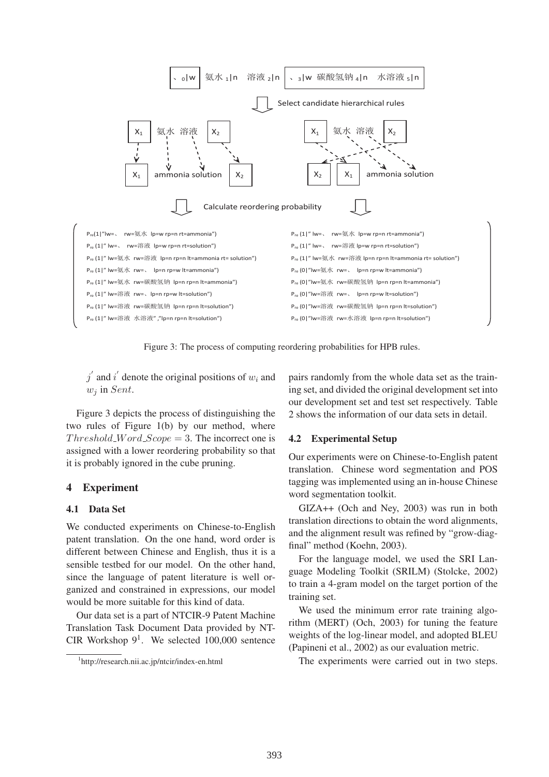

Figure 3: The process of computing reordering probabilities for HPB rules.

 $j'$  and i' denote the original positions of  $w_i$  and  $w_i$  in Sent.

Figure 3 depicts the process of distinguishing the two rules of Figure 1(b) by our method, where  $Threshold\_Word\_Scope = 3$ . The incorrect one is assigned with a lower reordering probability so that it is probably ignored in the cube pruning.

# 4 Experiment

# 4.1 Data Set

We conducted experiments on Chinese-to-English patent translation. On the one hand, word order is different between Chinese and English, thus it is a sensible testbed for our model. On the other hand, since the language of patent literature is well organized and constrained in expressions, our model would be more suitable for this kind of data.

Our data set is a part of NTCIR-9 Patent Machine Translation Task Document Data provided by NT-CIR Workshop  $9^1$ . We selected 100,000 sentence pairs randomly from the whole data set as the training set, and divided the original development set into our development set and test set respectively. Table 2 shows the information of our data sets in detail.

# 4.2 Experimental Setup

Our experiments were on Chinese-to-English patent translation. Chinese word segmentation and POS tagging was implemented using an in-house Chinese word segmentation toolkit.

GIZA++ (Och and Ney, 2003) was run in both translation directions to obtain the word alignments, and the alignment result was refined by "grow-diagfinal" method (Koehn, 2003).

For the language model, we used the SRI Language Modeling Toolkit (SRILM) (Stolcke, 2002) to train a 4-gram model on the target portion of the training set.

We used the minimum error rate training algorithm (MERT) (Och, 2003) for tuning the feature weights of the log-linear model, and adopted BLEU (Papineni et al., 2002) as our evaluation metric.

The experiments were carried out in two steps.

<sup>1</sup> http://research.nii.ac.jp/ntcir/index-en.html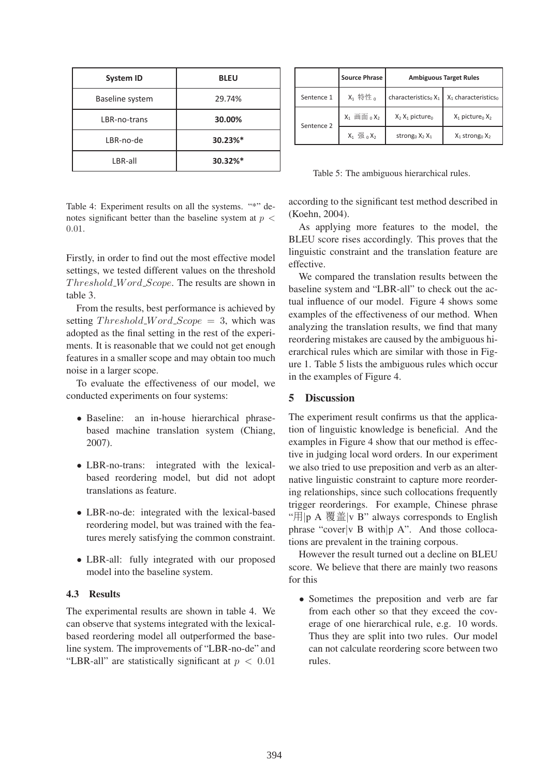| <b>System ID</b> | <b>BLEU</b> |
|------------------|-------------|
| Baseline system  | 29.74%      |
| LBR-no-trans     | 30.00%      |
| LBR-no-de        | 30.23%*     |
| LBR-all          | 30.32%*     |

|            | <b>Source Phrase</b>   | <b>Ambiguous Target Rules</b>      |                                    |
|------------|------------------------|------------------------------------|------------------------------------|
| Sentence 1 | X <sub>1</sub> 特性。     | characteristics <sub>0</sub> $X_1$ | $X_1$ characteristics <sub>0</sub> |
| Sentence 2 | $X_1 \nbox{ min } X_2$ | $X_2$ , $X_1$ picture <sub>0</sub> | $X_1$ picture <sub>0</sub> $X_2$   |
|            | $X_1$ 强 $_0X_2$        | strong <sub>0</sub> $X_2$ $X_1$    | $X_1$ strong <sub>0</sub> $X_2$    |

Table 5: The ambiguous hierarchical rules.

Table 4: Experiment results on all the systems. "\*" denotes significant better than the baseline system at  $p <$ 0.01.

Firstly, in order to find out the most effective model settings, we tested different values on the threshold Threshold\_Word\_Scope. The results are shown in table 3.

From the results, best performance is achieved by setting  $Threshold\_Word\_Scope = 3$ , which was adopted as the final setting in the rest of the experiments. It is reasonable that we could not get enough features in a smaller scope and may obtain too much noise in a larger scope.

To evaluate the effectiveness of our model, we conducted experiments on four systems:

- Baseline: an in-house hierarchical phrasebased machine translation system (Chiang, 2007).
- LBR-no-trans: integrated with the lexicalbased reordering model, but did not adopt translations as feature.
- LBR-no-de: integrated with the lexical-based reordering model, but was trained with the features merely satisfying the common constraint.
- LBR-all: fully integrated with our proposed model into the baseline system.

## 4.3 Results

The experimental results are shown in table 4. We can observe that systems integrated with the lexicalbased reordering model all outperformed the baseline system. The improvements of "LBR-no-de" and "LBR-all" are statistically significant at  $p < 0.01$ 

according to the significant test method described in (Koehn, 2004).

As applying more features to the model, the BLEU score rises accordingly. This proves that the linguistic constraint and the translation feature are effective.

We compared the translation results between the baseline system and "LBR-all" to check out the actual influence of our model. Figure 4 shows some examples of the effectiveness of our method. When analyzing the translation results, we find that many reordering mistakes are caused by the ambiguous hierarchical rules which are similar with those in Figure 1. Table 5 lists the ambiguous rules which occur in the examples of Figure 4.

# 5 Discussion

The experiment result confirms us that the application of linguistic knowledge is beneficial. And the examples in Figure 4 show that our method is effective in judging local word orders. In our experiment we also tried to use preposition and verb as an alternative linguistic constraint to capture more reordering relationships, since such collocations frequently trigger reorderings. For example, Chinese phrase "用 |p A 覆盖 |v B" always corresponds to English phrase "cover|v B with|p A". And those collocations are prevalent in the training corpous.

However the result turned out a decline on BLEU score. We believe that there are mainly two reasons for this

• Sometimes the preposition and verb are far from each other so that they exceed the coverage of one hierarchical rule, e.g. 10 words. Thus they are split into two rules. Our model can not calculate reordering score between two rules.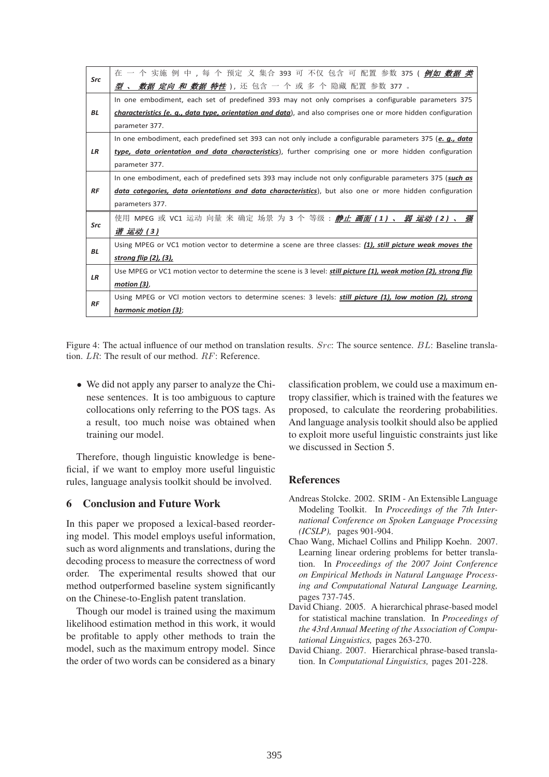| Src       | 在 一 个 实施 例 中 , 每 个 预定 义 集合 393 可 不仅 包含 可 配置 参数 375 ( <i>倒如 数据 类</i>                                                     |  |  |  |
|-----------|-------------------------------------------------------------------------------------------------------------------------|--|--|--|
|           | <b>型 、 <i>数据 定向 和 数据 特性</i></b> ), 还 包含 一 个 或 多 个 隐藏 配置 参数 377 。                                                        |  |  |  |
| <b>BL</b> | In one embodiment, each set of predefined 393 may not only comprises a configurable parameters 375                      |  |  |  |
|           | characteristics (e. q., data type, orientation and data), and also comprises one or more hidden configuration           |  |  |  |
|           | parameter 377.                                                                                                          |  |  |  |
| <b>LR</b> | In one embodiment, each predefined set 393 can not only include a configurable parameters 375 (e. $g_{\cdot}$ , data    |  |  |  |
|           | type, data orientation and data characteristics), further comprising one or more hidden configuration                   |  |  |  |
|           | parameter 377.                                                                                                          |  |  |  |
|           | In one embodiment, each of predefined sets 393 may include not only configurable parameters 375 (such as                |  |  |  |
| RF        | data categories, data orientations and data characteristics), but also one or more hidden configuration                 |  |  |  |
|           | parameters 377.                                                                                                         |  |  |  |
|           | 使用 MPEG 或 VC1 运动 向量 来 确定 场景 为 3 个 等级 : <u>静止 <i>画面 (</i> 1 ) 、 <i>弱 运动 (</i> 2 ) 、 <i>强</i></u>                         |  |  |  |
| Src       | 谐 运动 (3)                                                                                                                |  |  |  |
| <b>BL</b> | Using MPEG or VC1 motion vector to determine a scene are three classes: (1), still picture weak moves the               |  |  |  |
|           | <u>strong flip (2), (3),</u>                                                                                            |  |  |  |
| <b>LR</b> | Use MPEG or VC1 motion vector to determine the scene is 3 level: <b>still picture (1), weak motion (2), strong flip</b> |  |  |  |
|           | $motion (3)$ ,                                                                                                          |  |  |  |
| RF        | Using MPEG or VCI motion vectors to determine scenes: 3 levels: <b>still picture (1), low motion (2), strong</b>        |  |  |  |
|           | harmonic motion (3);                                                                                                    |  |  |  |

Figure 4: The actual influence of our method on translation results. Src: The source sentence. BL: Baseline translation. LR: The result of our method. RF: Reference.

• We did not apply any parser to analyze the Chinese sentences. It is too ambiguous to capture collocations only referring to the POS tags. As a result, too much noise was obtained when training our model.

Therefore, though linguistic knowledge is beneficial, if we want to employ more useful linguistic rules, language analysis toolkit should be involved.

# 6 Conclusion and Future Work

In this paper we proposed a lexical-based reordering model. This model employs useful information, such as word alignments and translations, during the decoding process to measure the correctness of word order. The experimental results showed that our method outperformed baseline system significantly on the Chinese-to-English patent translation.

Though our model is trained using the maximum likelihood estimation method in this work, it would be profitable to apply other methods to train the model, such as the maximum entropy model. Since the order of two words can be considered as a binary classification problem, we could use a maximum entropy classifier, which is trained with the features we proposed, to calculate the reordering probabilities. And language analysis toolkit should also be applied to exploit more useful linguistic constraints just like we discussed in Section 5.

# References

- Andreas Stolcke. 2002. SRIM An Extensible Language Modeling Toolkit. In *Proceedings of the 7th International Conference on Spoken Language Processing (ICSLP),* pages 901-904.
- Chao Wang, Michael Collins and Philipp Koehn. 2007. Learning linear ordering problems for better translation. In *Proceedings of the 2007 Joint Conference on Empirical Methods in Natural Language Processing and Computational Natural Language Learning,* pages 737-745.
- David Chiang. 2005. A hierarchical phrase-based model for statistical machine translation. In *Proceedings of the 43rd Annual Meeting of the Association of Computational Linguistics,* pages 263-270.
- David Chiang. 2007. Hierarchical phrase-based translation. In *Computational Linguistics,* pages 201-228.